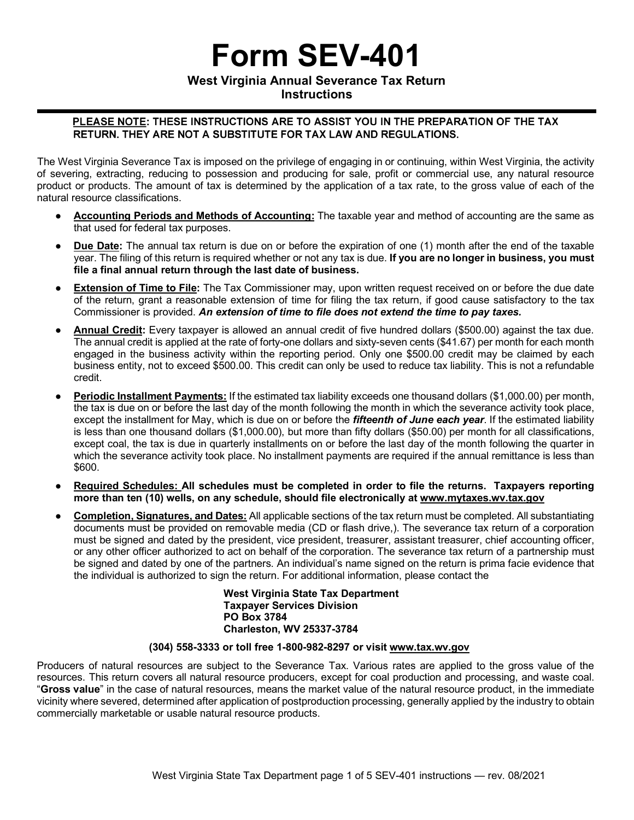# **Form SEV-401**

#### **West Virginia Annual Severance Tax Return Instructions**

# PLEASE NOTE: THESE INSTRUCTIONS ARE TO ASSIST YOU IN THE PREPARATION OF THE TAX RETURN. THEY ARE NOT A SUBSTITUTE FOR TAX LAW AND REGULATIONS.

The West Virginia Severance Tax is imposed on the privilege of engaging in or continuing, within West Virginia, the activity of severing, extracting, reducing to possession and producing for sale, profit or commercial use, any natural resource product or products. The amount of tax is determined by the application of a tax rate, to the gross value of each of the natural resource classifications.

- **Accounting Periods and Methods of Accounting:** The taxable year and method of accounting are the same as that used for federal tax purposes.
- **Due Date:** The annual tax return is due on or before the expiration of one (1) month after the end of the taxable year. The filing of this return is required whether or not any tax is due. **If you are no longer in business, you must file a final annual return through the last date of business.**
- **Extension of Time to File:** The Tax Commissioner may, upon written request received on or before the due date of the return, grant a reasonable extension of time for filing the tax return, if good cause satisfactory to the tax Commissioner is provided. *An extension of time to file does not extend the time to pay taxes.*
- **Annual Credit:** Every taxpayer is allowed an annual credit of five hundred dollars (\$500.00) against the tax due. The annual credit is applied at the rate of forty-one dollars and sixty-seven cents (\$41.67) per month for each month engaged in the business activity within the reporting period. Only one \$500.00 credit may be claimed by each business entity, not to exceed \$500.00. This credit can only be used to reduce tax liability. This is not a refundable credit.
- **Periodic Installment Payments:** If the estimated tax liability exceeds one thousand dollars (\$1,000.00) per month, the tax is due on or before the last day of the month following the month in which the severance activity took place, except the installment for May, which is due on or before the *fifteenth of June each year*. If the estimated liability is less than one thousand dollars (\$1,000.00), but more than fifty dollars (\$50.00) per month for all classifications, except coal, the tax is due in quarterly installments on or before the last day of the month following the quarter in which the severance activity took place. No installment payments are required if the annual remittance is less than \$600.
- **Required Schedules: All schedules must be completed in order to file the returns. Taxpayers reporting more than ten (10) wells, on any schedule, should file electronically at [www.mytaxes.wv.tax.gov](http://www.mytaxes.wv.tax.gov/)**
- **Completion, Signatures, and Dates:** All applicable sections of the tax return must be completed. All substantiating documents must be provided on removable media (CD or flash drive,). The severance tax return of a corporation must be signed and dated by the president, vice president, treasurer, assistant treasurer, chief accounting officer, or any other officer authorized to act on behalf of the corporation. The severance tax return of a partnership must be signed and dated by one of the partners. An individual's name signed on the return is prima facie evidence that the individual is authorized to sign the return. For additional information, please contact the

**West Virginia State Tax Department Taxpayer Services Division PO Box 3784 Charleston, WV 25337-3784**

## **(304) 558-3333 or toll free 1-800-982-8297 or visit [www.tax.wv.gov](http://www.tax.wv.gov/)**

Producers of natural resources are subject to the Severance Tax. Various rates are applied to the gross value of the resources. This return covers all natural resource producers, except for coal production and processing, and waste coal. "**Gross value**" in the case of natural resources, means the market value of the natural resource product, in the immediate vicinity where severed, determined after application of postproduction processing, generally applied by the industry to obtain commercially marketable or usable natural resource products.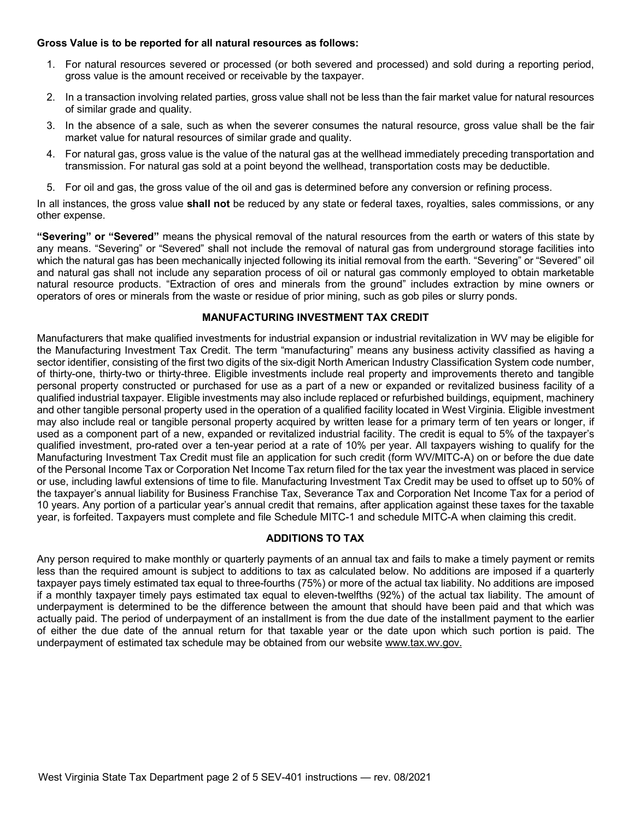#### **Gross Value is to be reported for all natural resources as follows:**

- 1. For natural resources severed or processed (or both severed and processed) and sold during a reporting period, gross value is the amount received or receivable by the taxpayer.
- 2. In a transaction involving related parties, gross value shall not be less than the fair market value for natural resources of similar grade and quality.
- 3. In the absence of a sale, such as when the severer consumes the natural resource, gross value shall be the fair market value for natural resources of similar grade and quality.
- 4. For natural gas, gross value is the value of the natural gas at the wellhead immediately preceding transportation and transmission. For natural gas sold at a point beyond the wellhead, transportation costs may be deductible.
- 5. For oil and gas, the gross value of the oil and gas is determined before any conversion or refining process.

In all instances, the gross value **shall not** be reduced by any state or federal taxes, royalties, sales commissions, or any other expense.

**"Severing" or "Severed"** means the physical removal of the natural resources from the earth or waters of this state by any means. "Severing" or "Severed" shall not include the removal of natural gas from underground storage facilities into which the natural gas has been mechanically injected following its initial removal from the earth. "Severing" or "Severed" oil and natural gas shall not include any separation process of oil or natural gas commonly employed to obtain marketable natural resource products. "Extraction of ores and minerals from the ground" includes extraction by mine owners or operators of ores or minerals from the waste or residue of prior mining, such as gob piles or slurry ponds.

## **MANUFACTURING INVESTMENT TAX CREDIT**

Manufacturers that make qualified investments for industrial expansion or industrial revitalization in WV may be eligible for the Manufacturing Investment Tax Credit. The term "manufacturing" means any business activity classified as having a sector identifier, consisting of the first two digits of the six-digit North American Industry Classification System code number, of thirty-one, thirty-two or thirty-three. Eligible investments include real property and improvements thereto and tangible personal property constructed or purchased for use as a part of a new or expanded or revitalized business facility of a qualified industrial taxpayer. Eligible investments may also include replaced or refurbished buildings, equipment, machinery and other tangible personal property used in the operation of a qualified facility located in West Virginia. Eligible investment may also include real or tangible personal property acquired by written lease for a primary term of ten years or longer, if used as a component part of a new, expanded or revitalized industrial facility. The credit is equal to 5% of the taxpayer's qualified investment, pro-rated over a ten-year period at a rate of 10% per year. All taxpayers wishing to qualify for the Manufacturing Investment Tax Credit must file an application for such credit (form WV/MITC-A) on or before the due date of the Personal Income Tax or Corporation Net Income Tax return filed for the tax year the investment was placed in service or use, including lawful extensions of time to file. Manufacturing Investment Tax Credit may be used to offset up to 50% of the taxpayer's annual liability for Business Franchise Tax, Severance Tax and Corporation Net Income Tax for a period of 10 years. Any portion of a particular year's annual credit that remains, after application against these taxes for the taxable year, is forfeited. Taxpayers must complete and file Schedule MITC-1 and schedule MITC-A when claiming this credit.

## **ADDITIONS TO TAX**

Any person required to make monthly or quarterly payments of an annual tax and fails to make a timely payment or remits less than the required amount is subject to additions to tax as calculated below. No additions are imposed if a quarterly taxpayer pays timely estimated tax equal to three-fourths (75%) or more of the actual tax liability. No additions are imposed if a monthly taxpayer timely pays estimated tax equal to eleven-twelfths (92%) of the actual tax liability. The amount of underpayment is determined to be the difference between the amount that should have been paid and that which was actually paid. The period of underpayment of an installment is from the due date of the installment payment to the earlier of either the due date of the annual return for that taxable year or the date upon which such portion is paid. The underpayment of estimated tax schedule may be obtained from our website [www.tax.wv.gov.](http://www.tax.wv.gov/)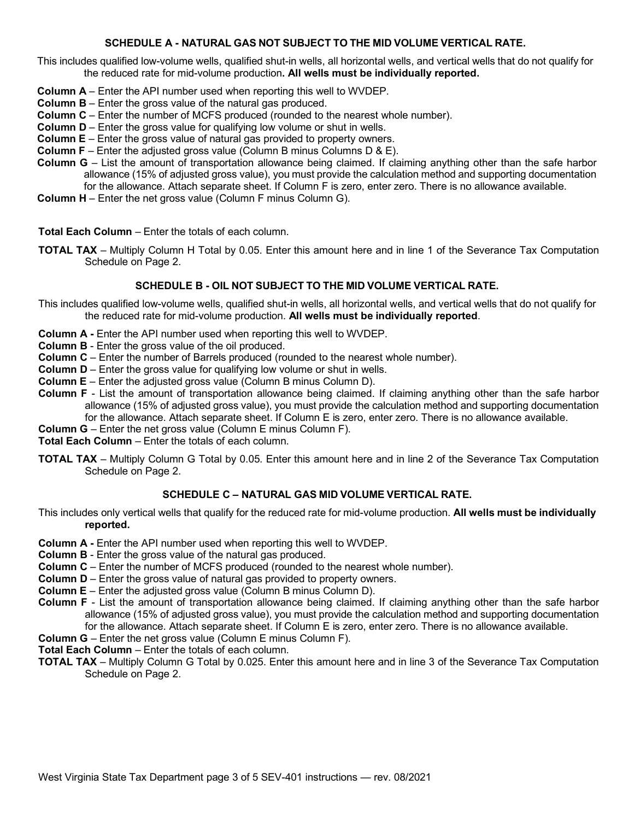## **SCHEDULE A - NATURAL GAS NOT SUBJECT TO THE MID VOLUME VERTICAL RATE.**

- This includes qualified low-volume wells, qualified shut-in wells, all horizontal wells, and vertical wells that do not qualify for the reduced rate for mid-volume production**. All wells must be individually reported.**
- **Column A** Enter the API number used when reporting this well to WVDEP.
- **Column B** Enter the gross value of the natural gas produced.
- **Column C** Enter the number of MCFS produced (rounded to the nearest whole number).
- **Column D** Enter the gross value for qualifying low volume or shut in wells.
- **Column E** Enter the gross value of natural gas provided to property owners.
- **Column F** Enter the adjusted gross value (Column B minus Columns D & E).
- **Column G** List the amount of transportation allowance being claimed. If claiming anything other than the safe harbor allowance (15% of adjusted gross value), you must provide the calculation method and supporting documentation for the allowance. Attach separate sheet. If Column F is zero, enter zero. There is no allowance available.
- **Column H** Enter the net gross value (Column F minus Column G).

**Total Each Column** – Enter the totals of each column.

**TOTAL TAX** – Multiply Column H Total by 0.05. Enter this amount here and in line 1 of the Severance Tax Computation Schedule on Page 2.

## **SCHEDULE B - OIL NOT SUBJECT TO THE MID VOLUME VERTICAL RATE.**

- This includes qualified low-volume wells, qualified shut-in wells, all horizontal wells, and vertical wells that do not qualify for the reduced rate for mid-volume production. **All wells must be individually reported**.
- **Column A -** Enter the API number used when reporting this well to WVDEP.
- **Column B**  Enter the gross value of the oil produced.
- **Column C** Enter the number of Barrels produced (rounded to the nearest whole number).
- **Column D** Enter the gross value for qualifying low volume or shut in wells.
- **Column E** Enter the adjusted gross value (Column B minus Column D).
- **Column F** List the amount of transportation allowance being claimed. If claiming anything other than the safe harbor allowance (15% of adjusted gross value), you must provide the calculation method and supporting documentation for the allowance. Attach separate sheet. If Column E is zero, enter zero. There is no allowance available.
- **Column G** Enter the net gross value (Column E minus Column F).

**Total Each Column** – Enter the totals of each column.

**TOTAL TAX** – Multiply Column G Total by 0.05. Enter this amount here and in line 2 of the Severance Tax Computation Schedule on Page 2.

## **SCHEDULE C – NATURAL GAS MID VOLUME VERTICAL RATE.**

- This includes only vertical wells that qualify for the reduced rate for mid-volume production. **All wells must be individually reported.**
- **Column A -** Enter the API number used when reporting this well to WVDEP.
- **Column B**  Enter the gross value of the natural gas produced.
- **Column C** Enter the number of MCFS produced (rounded to the nearest whole number).
- **Column D** Enter the gross value of natural gas provided to property owners.
- **Column E** Enter the adjusted gross value (Column B minus Column D).
- **Column F** List the amount of transportation allowance being claimed. If claiming anything other than the safe harbor allowance (15% of adjusted gross value), you must provide the calculation method and supporting documentation for the allowance. Attach separate sheet. If Column E is zero, enter zero. There is no allowance available.
- **Column G** Enter the net gross value (Column E minus Column F).

**Total Each Column** – Enter the totals of each column.

**TOTAL TAX** – Multiply Column G Total by 0.025. Enter this amount here and in line 3 of the Severance Tax Computation Schedule on Page 2.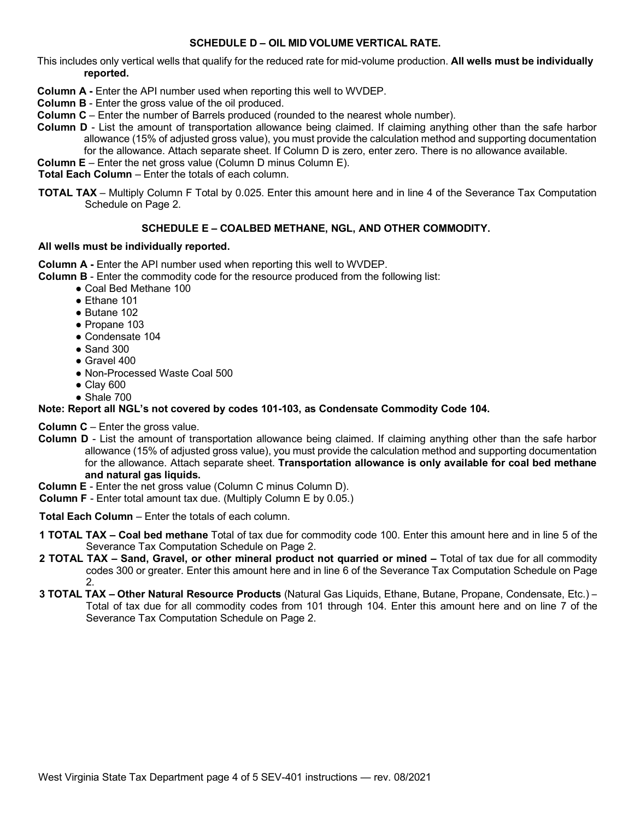#### **SCHEDULE D – OIL MID VOLUME VERTICAL RATE.**

This includes only vertical wells that qualify for the reduced rate for mid-volume production. **All wells must be individually reported.**

- **Column A -** Enter the API number used when reporting this well to WVDEP.
- **Column B**  Enter the gross value of the oil produced.
- **Column C** Enter the number of Barrels produced (rounded to the nearest whole number).
- **Column D** List the amount of transportation allowance being claimed. If claiming anything other than the safe harbor allowance (15% of adjusted gross value), you must provide the calculation method and supporting documentation for the allowance. Attach separate sheet. If Column D is zero, enter zero. There is no allowance available.
- **Column E** Enter the net gross value (Column D minus Column E).

**Total Each Column** – Enter the totals of each column.

**TOTAL TAX** – Multiply Column F Total by 0.025. Enter this amount here and in line 4 of the Severance Tax Computation Schedule on Page 2.

## **SCHEDULE E – COALBED METHANE, NGL, AND OTHER COMMODITY.**

#### **All wells must be individually reported.**

**Column A -** Enter the API number used when reporting this well to WVDEP.

**Column B** - Enter the commodity code for the resource produced from the following list:

- Coal Bed Methane 100
- Ethane 101
- Butane 102
- Propane 103
- Condensate 104
- $\bullet$  Sand 300
- $\bullet$  Gravel 400
- Non-Processed Waste Coal 500
- Clay 600
- $\bullet$  Shale 700

# **Note: Report all NGL's not covered by codes 101-103, as Condensate Commodity Code 104.**

**Column C** – Enter the gross value.

- **Column D** List the amount of transportation allowance being claimed. If claiming anything other than the safe harbor allowance (15% of adjusted gross value), you must provide the calculation method and supporting documentation for the allowance. Attach separate sheet. **Transportation allowance is only available for coal bed methane and natural gas liquids.**
- **Column E** Enter the net gross value (Column C minus Column D).
- **Column F**  Enter total amount tax due. (Multiply Column E by 0.05.)

**Total Each Column** – Enter the totals of each column.

- **1 TOTAL TAX – Coal bed methane** Total of tax due for commodity code 100. Enter this amount here and in line 5 of the Severance Tax Computation Schedule on Page 2.
- **2 TOTAL TAX – Sand, Gravel, or other mineral product not quarried or mined –** Total of tax due for all commodity codes 300 or greater. Enter this amount here and in line 6 of the Severance Tax Computation Schedule on Page 2.
- **3 TOTAL TAX – Other Natural Resource Products** (Natural Gas Liquids, Ethane, Butane, Propane, Condensate, Etc.) Total of tax due for all commodity codes from 101 through 104. Enter this amount here and on line 7 of the Severance Tax Computation Schedule on Page 2.